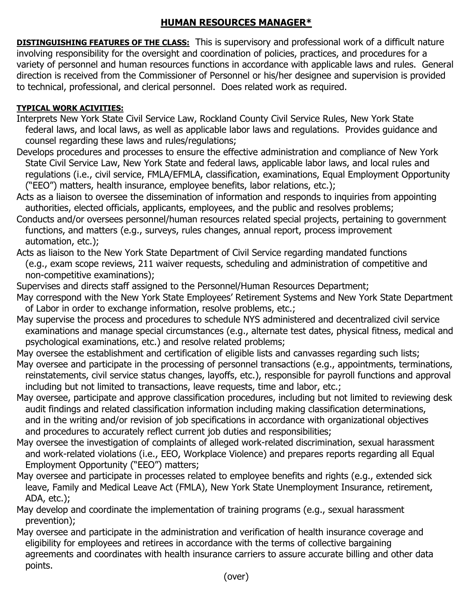## **HUMAN RESOURCES MANAGER\***

**DISTINGUISHING FEATURES OF THE CLASS:** This is supervisory and professional work of a difficult nature involving responsibility for the oversight and coordination of policies, practices, and procedures for a variety of personnel and human resources functions in accordance with applicable laws and rules. General direction is received from the Commissioner of Personnel or his/her designee and supervision is provided to technical, professional, and clerical personnel. Does related work as required.

## **TYPICAL WORK ACIVITIES:**

- Interprets New York State Civil Service Law, Rockland County Civil Service Rules, New York State federal laws, and local laws, as well as applicable labor laws and regulations. Provides guidance and counsel regarding these laws and rules/regulations;
- Develops procedures and processes to ensure the effective administration and compliance of New York State Civil Service Law, New York State and federal laws, applicable labor laws, and local rules and regulations (i.e., civil service, FMLA/EFMLA, classification, examinations, Equal Employment Opportunity ("EEO") matters, health insurance, employee benefits, labor relations, etc.);
- Acts as a liaison to oversee the dissemination of information and responds to inquiries from appointing authorities, elected officials, applicants, employees, and the public and resolves problems;
- Conducts and/or oversees personnel/human resources related special projects, pertaining to government functions, and matters (e.g., surveys, rules changes, annual report, process improvement automation, etc.);
- Acts as liaison to the New York State Department of Civil Service regarding mandated functions (e.g., exam scope reviews, 211 waiver requests, scheduling and administration of competitive and non-competitive examinations);
- Supervises and directs staff assigned to the Personnel/Human Resources Department;
- May correspond with the New York State Employees' Retirement Systems and New York State Department of Labor in order to exchange information, resolve problems, etc.;
- May supervise the process and procedures to schedule NYS administered and decentralized civil service examinations and manage special circumstances (e.g., alternate test dates, physical fitness, medical and psychological examinations, etc.) and resolve related problems;
- May oversee the establishment and certification of eligible lists and canvasses regarding such lists; May oversee and participate in the processing of personnel transactions (e.g., appointments, terminations, reinstatements, civil service status changes, layoffs, etc.), responsible for payroll functions and approval including but not limited to transactions, leave requests, time and labor, etc.;
- May oversee, participate and approve classification procedures, including but not limited to reviewing desk audit findings and related classification information including making classification determinations, and in the writing and/or revision of job specifications in accordance with organizational objectives and procedures to accurately reflect current job duties and responsibilities;
- May oversee the investigation of complaints of alleged work-related discrimination, sexual harassment and work-related violations (i.e., EEO, Workplace Violence) and prepares reports regarding all Equal Employment Opportunity ("EEO") matters;
- May oversee and participate in processes related to employee benefits and rights (e.g., extended sick leave, Family and Medical Leave Act (FMLA), New York State Unemployment Insurance, retirement, ADA, etc.);
- May develop and coordinate the implementation of training programs (e.g., sexual harassment prevention);
- May oversee and participate in the administration and verification of health insurance coverage and eligibility for employees and retirees in accordance with the terms of collective bargaining agreements and coordinates with health insurance carriers to assure accurate billing and other data points.